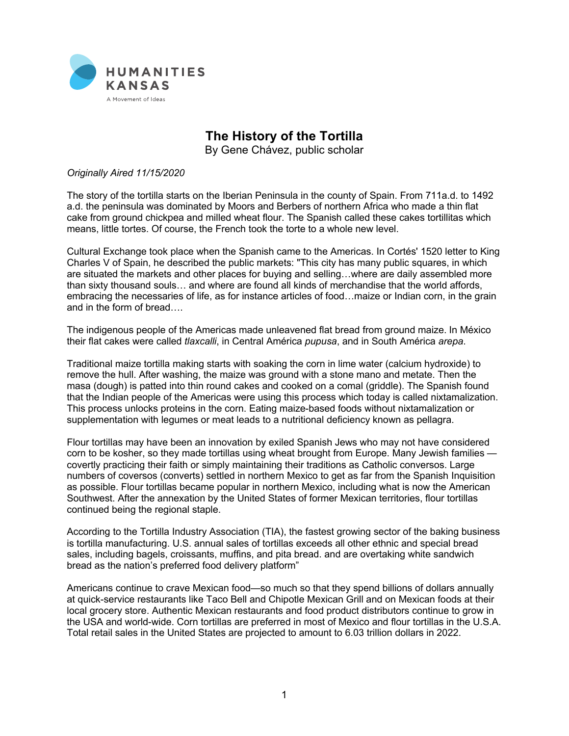

## **The History of the Tortilla**

By Gene Chávez, public scholar

## *Originally Aired 11/15/2020*

The story of the tortilla starts on the Iberian Peninsula in the county of Spain. From 711a.d. to 1492 a.d. the peninsula was dominated by Moors and Berbers of northern Africa who made a thin flat cake from ground chickpea and milled wheat flour. The Spanish called these cakes tortillitas which means, little tortes. Of course, the French took the torte to a whole new level.

Cultural Exchange took place when the Spanish came to the Americas. In Cortés' 1520 letter to King Charles V of Spain, he described the public markets: "This city has many public squares, in which are situated the markets and other places for buying and selling…where are daily assembled more than sixty thousand souls… and where are found all kinds of merchandise that the world affords, embracing the necessaries of life, as for instance articles of food…maize or Indian corn, in the grain and in the form of bread….

The indigenous people of the Americas made unleavened flat bread from ground maize. In México their flat cakes were called *tlaxcalli*, in Central América *pupusa*, and in South América *arepa*.

Traditional maize tortilla making starts with soaking the corn in lime water (calcium hydroxide) to remove the hull. After washing, the maize was ground with a stone mano and metate. Then the masa (dough) is patted into thin round cakes and cooked on a comal (griddle). The Spanish found that the Indian people of the Americas were using this process which today is called nixtamalization. This process unlocks proteins in the corn. Eating maize-based foods without nixtamalization or supplementation with legumes or meat leads to a nutritional deficiency known as pellagra.

Flour tortillas may have been an innovation by exiled Spanish Jews who may not have considered corn to be kosher, so they made tortillas using wheat brought from Europe. Many Jewish families covertly practicing their faith or simply maintaining their traditions as Catholic conversos. Large numbers of coversos (converts) settled in northern Mexico to get as far from the Spanish Inquisition as possible. Flour tortillas became popular in northern Mexico, including what is now the American Southwest. After the annexation by the United States of former Mexican territories, flour tortillas continued being the regional staple.

According to the Tortilla Industry Association (TIA), the fastest growing sector of the baking business is tortilla manufacturing. U.S. annual sales of tortillas exceeds all other ethnic and special bread sales, including bagels, croissants, muffins, and pita bread. and are overtaking white sandwich bread as the nation's preferred food delivery platform"

Americans continue to crave Mexican food—so much so that they spend billions of dollars annually at quick-service restaurants like Taco Bell and Chipotle Mexican Grill and on Mexican foods at their local grocery store. Authentic Mexican restaurants and food product distributors continue to grow in the USA and world-wide. Corn tortillas are preferred in most of Mexico and flour tortillas in the U.S.A. Total retail sales in the United States are projected to amount to 6.03 trillion dollars in 2022.